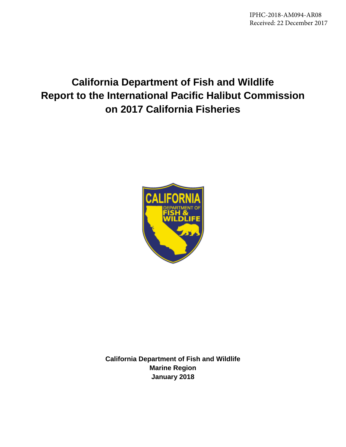IPHC-2018-AM094-AR08 Received: 22 December 2017

# **California Department of Fish and Wildlife Report to the International Pacific Halibut Commission on 2017 California Fisheries**



**California Department of Fish and Wildlife Marine Region January 2018**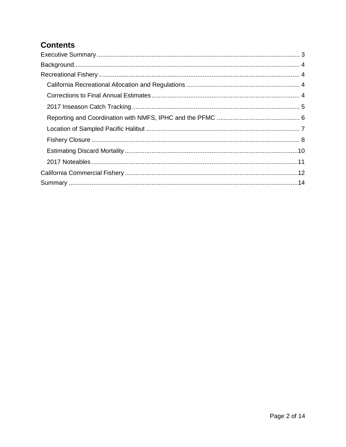### **Contents**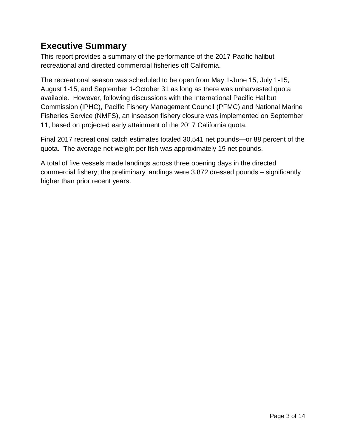## <span id="page-2-0"></span>**Executive Summary**

This report provides a summary of the performance of the 2017 Pacific halibut recreational and directed commercial fisheries off California.

The recreational season was scheduled to be open from May 1-June 15, July 1-15, August 1-15, and September 1-October 31 as long as there was unharvested quota available. However, following discussions with the International Pacific Halibut Commission (IPHC), Pacific Fishery Management Council (PFMC) and National Marine Fisheries Service (NMFS), an inseason fishery closure was implemented on September 11, based on projected early attainment of the 2017 California quota.

Final 2017 recreational catch estimates totaled 30,541 net pounds—or 88 percent of the quota. The average net weight per fish was approximately 19 net pounds.

A total of five vessels made landings across three opening days in the directed commercial fishery; the preliminary landings were 3,872 dressed pounds – significantly higher than prior recent years.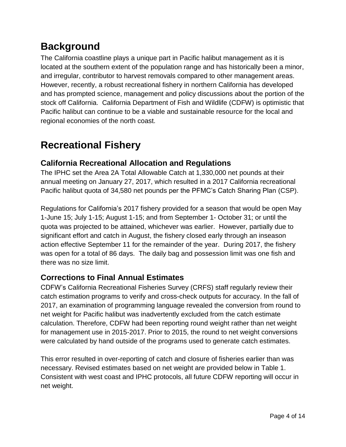# <span id="page-3-0"></span>**Background**

The California coastline plays a unique part in Pacific halibut management as it is located at the southern extent of the population range and has historically been a minor, and irregular, contributor to harvest removals compared to other management areas. However, recently, a robust recreational fishery in northern California has developed and has prompted science, management and policy discussions about the portion of the stock off California. California Department of Fish and Wildlife (CDFW) is optimistic that Pacific halibut can continue to be a viable and sustainable resource for the local and regional economies of the north coast.

# <span id="page-3-1"></span>**Recreational Fishery**

### <span id="page-3-2"></span>**California Recreational Allocation and Regulations**

The IPHC set the Area 2A Total Allowable Catch at 1,330,000 net pounds at their annual meeting on January 27, 2017, which resulted in a 2017 California recreational Pacific halibut quota of 34,580 net pounds per the PFMC's Catch Sharing Plan (CSP).

Regulations for California's 2017 fishery provided for a season that would be open May 1-June 15; July 1-15; August 1-15; and from September 1- October 31; or until the quota was projected to be attained, whichever was earlier. However, partially due to significant effort and catch in August, the fishery closed early through an inseason action effective September 11 for the remainder of the year. During 2017, the fishery was open for a total of 86 days. The daily bag and possession limit was one fish and there was no size limit.

### <span id="page-3-3"></span>**Corrections to Final Annual Estimates**

CDFW's California Recreational Fisheries Survey (CRFS) staff regularly review their catch estimation programs to verify and cross-check outputs for accuracy. In the fall of 2017, an examination of programming language revealed the conversion from round to net weight for Pacific halibut was inadvertently excluded from the catch estimate calculation. Therefore, CDFW had been reporting round weight rather than net weight for management use in 2015-2017. Prior to 2015, the round to net weight conversions were calculated by hand outside of the programs used to generate catch estimates.

This error resulted in over-reporting of catch and closure of fisheries earlier than was necessary. Revised estimates based on net weight are provided below in Table 1. Consistent with west coast and IPHC protocols, all future CDFW reporting will occur in net weight.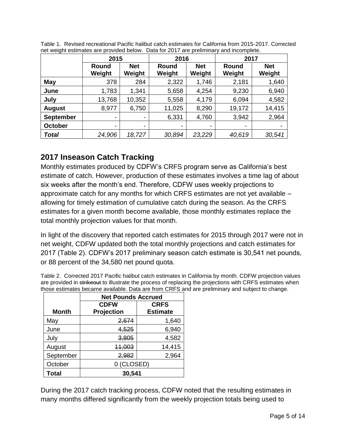|                  | 2015            |                      | 2016                     |                      | 2017                   |                      |
|------------------|-----------------|----------------------|--------------------------|----------------------|------------------------|----------------------|
|                  | Round<br>Weight | <b>Net</b><br>Weight | Round<br>Weight          | <b>Net</b><br>Weight | <b>Round</b><br>Weight | <b>Net</b><br>Weight |
| May              | 378             | 284                  | 2,322                    | 1,746                | 2,181                  | 1,640                |
| June             | 1,783           | 1,341                | 5,658                    | 4,254                | 9,230                  | 6,940                |
| July             | 13,768          | 10,352               | 5,558                    | 4,179                | 6,094                  | 4,582                |
| <b>August</b>    | 8,977           | 6,750                | 11,025                   | 8,290                | 19,172                 | 14,415               |
| <b>September</b> | ٠               | ٠                    | 6,331                    | 4,760                | 3,942                  | 2,964                |
| <b>October</b>   | ۰               | ۰                    | $\overline{\phantom{a}}$ |                      | ۰                      | $\,$                 |
| <b>Total</b>     | 24,906          | 18,727               | 30,894                   | 23,229               | 40,619                 | 30,541               |

Table 1. Revised recreational Pacific halibut catch estimates for California from 2015-2017. Corrected net weight estimates are provided below. Data for 2017 are preliminary and incomplete.

#### <span id="page-4-0"></span>**2017 Inseason Catch Tracking**

Monthly estimates produced by CDFW's CRFS program serve as California's best estimate of catch. However, production of these estimates involves a time lag of about six weeks after the month's end. Therefore, CDFW uses weekly projections to approximate catch for any months for which CRFS estimates are not yet available – allowing for timely estimation of cumulative catch during the season. As the CRFS estimates for a given month become available, those monthly estimates replace the total monthly projection values for that month.

In light of the discovery that reported catch estimates for 2015 through 2017 were not in net weight, CDFW updated both the total monthly projections and catch estimates for 2017 (Table 2). CDFW's 2017 preliminary season catch estimate is 30,541 net pounds, or 88 percent of the 34,580 net pound quota.

Table 2. Corrected 2017 Pacific halibut catch estimates in California by month. CDFW projection values are provided in strikeout to illustrate the process of replacing the projections with CRFS estimates when those estimates became available. Data are from CRFS and are preliminary and subject to change.

|              | <b>Net Pounds Accrued</b> |                 |  |  |  |
|--------------|---------------------------|-----------------|--|--|--|
|              | <b>CDFW</b>               | <b>CRFS</b>     |  |  |  |
| <b>Month</b> | Projection                | <b>Estimate</b> |  |  |  |
| May          | 2,674                     | 1,640           |  |  |  |
| June         | 4,525                     | 6,940           |  |  |  |
| July         | 3,805                     | 4,582           |  |  |  |
| August       | 44,003                    | 14,415          |  |  |  |
| September    | 2,982                     | 2,964           |  |  |  |
| October      | 0 (CLOSED)                |                 |  |  |  |
| Total        | 30,541                    |                 |  |  |  |

During the 2017 catch tracking process, CDFW noted that the resulting estimates in many months differed significantly from the weekly projection totals being used to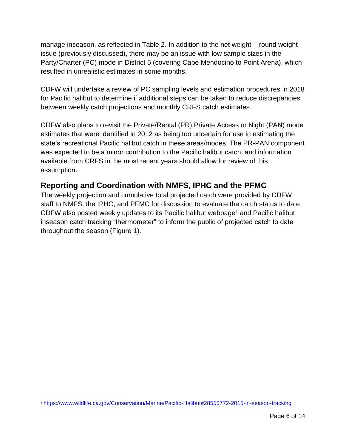manage inseason, as reflected in Table 2. In addition to the net weight – round weight issue (previously discussed), there may be an issue with low sample sizes in the Party/Charter (PC) mode in District 5 (covering Cape Mendocino to Point Arena), which resulted in unrealistic estimates in some months.

CDFW will undertake a review of PC sampling levels and estimation procedures in 2018 for Pacific halibut to determine if additional steps can be taken to reduce discrepancies between weekly catch projections and monthly CRFS catch estimates.

CDFW also plans to revisit the Private/Rental (PR) Private Access or Night (PAN) mode estimates that were identified in 2012 as being too uncertain for use in estimating the state's recreational Pacific halibut catch in these areas/modes. The PR-PAN component was expected to be a minor contribution to the Pacific halibut catch; and information available from CRFS in the most recent years should allow for review of this assumption.

#### <span id="page-5-0"></span>**Reporting and Coordination with NMFS, IPHC and the PFMC**

The weekly projection and cumulative total projected catch were provided by CDFW staff to NMFS, the IPHC, and PFMC for discussion to evaluate the catch status to date. CDFW also posted weekly updates to its Pacific halibut webpage<sup>1</sup> and Pacific halibut inseason catch tracking "thermometer" to inform the public of projected catch to date throughout the season (Figure 1).

 <sup>1</sup> <https://www.wildlife.ca.gov/Conservation/Marine/Pacific-Halibut#28555772-2015-in-season-tracking>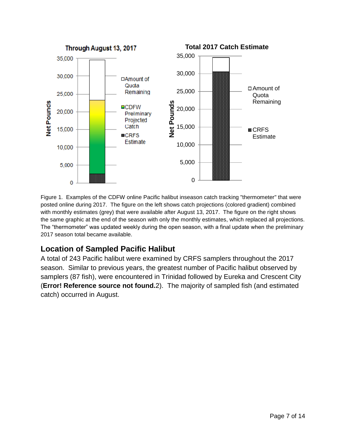

Figure 1. Examples of the CDFW online Pacific halibut inseason catch tracking "thermometer" that were posted online during 2017. The figure on the left shows catch projections (colored gradient) combined with monthly estimates (grey) that were available after August 13, 2017. The figure on the right shows the same graphic at the end of the season with only the monthly estimates, which replaced all projections. The "thermometer" was updated weekly during the open season, with a final update when the preliminary 2017 season total became available.

#### <span id="page-6-0"></span>**Location of Sampled Pacific Halibut**

A total of 243 Pacific halibut were examined by CRFS samplers throughout the 2017 season. Similar to previous years, the greatest number of Pacific halibut observed by samplers (87 fish), were encountered in Trinidad followed by Eureka and Crescent City (**Error! Reference source not found.**2). The majority of sampled fish (and estimated catch) occurred in August.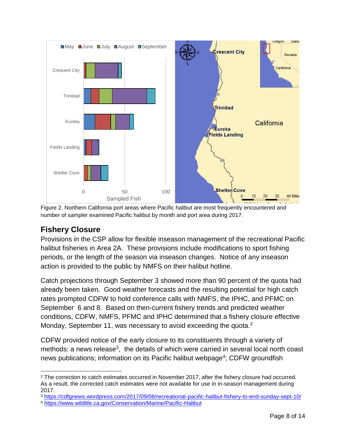

Figure 2. Northern California port areas where Pacific halibut are most frequently encountered and number of sampler examined Pacific halibut by month and port area during 2017.

#### <span id="page-7-0"></span>**Fishery Closure**

Provisions in the CSP allow for flexible inseason management of the recreational Pacific halibut fisheries in Area 2A. These provisions include modifications to sport fishing periods, or the length of the season via inseason changes. Notice of any inseason action is provided to the public by NMFS on their halibut hotline.

Catch projections through September 3 showed more than 90 percent of the quota had already been taken. Good weather forecasts and the resulting potential for high catch rates prompted CDFW to hold conference calls with NMFS, the IPHC, and PFMC on September 6 and 8. Based on then-current fishery trends and predicted weather conditions, CDFW, NMFS, PFMC and IPHC determined that a fishery closure effective Monday, September 11, was necessary to avoid exceeding the quota.<sup>2</sup>

CDFW provided notice of the early closure to its constituents through a variety of methods: a news release<sup>3</sup>, the details of which were carried in several local north coast news publications; information on its Pacific halibut webpage<sup>4</sup>; CDFW groundfish

<sup>2</sup> The correction to catch estimates occurred in November 2017, after the fishery closure had occurred. As a result, the corrected catch estimates were not available for use in in-season management during 2017.

<sup>3</sup> <https://cdfgnews.wordpress.com/2017/09/08/recreational-pacific-halibut-fishery-to-end-sunday-sept-10/>

<sup>4</sup> <https://www.wildlife.ca.gov/Conservation/Marine/Pacific-Halibut>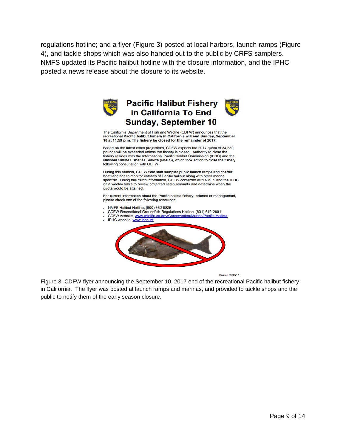regulations hotline; and a flyer (Figure 3) posted at local harbors, launch ramps (Figure 4), and tackle shops which was also handed out to the public by CRFS samplers. NMFS updated its Pacific halibut hotline with the closure information, and the IPHC posted a news release about the closure to its website.



**Version 09/08/17** 

Figure 3. CDFW flyer announcing the September 10, 2017 end of the recreational Pacific halibut fishery in California. The flyer was posted at launch ramps and marinas, and provided to tackle shops and the public to notify them of the early season closure.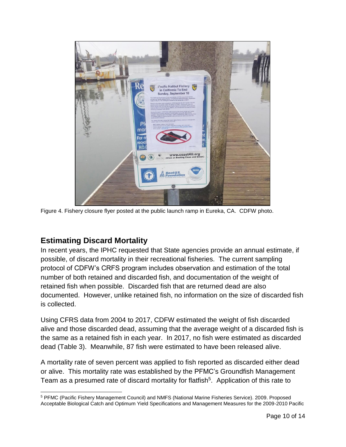

Figure 4. Fishery closure flyer posted at the public launch ramp in Eureka, CA. CDFW photo.

#### <span id="page-9-0"></span>**Estimating Discard Mortality**

 $\overline{a}$ 

In recent years, the IPHC requested that State agencies provide an annual estimate, if possible, of discard mortality in their recreational fisheries. The current sampling protocol of CDFW's CRFS program includes observation and estimation of the total number of both retained and discarded fish, and documentation of the weight of retained fish when possible. Discarded fish that are returned dead are also documented. However, unlike retained fish, no information on the size of discarded fish is collected.

Using CFRS data from 2004 to 2017, CDFW estimated the weight of fish discarded alive and those discarded dead, assuming that the average weight of a discarded fish is the same as a retained fish in each year. In 2017, no fish were estimated as discarded dead (Table 3). Meanwhile, 87 fish were estimated to have been released alive.

A mortality rate of seven percent was applied to fish reported as discarded either dead or alive. This mortality rate was established by the PFMC's Groundfish Management Team as a presumed rate of discard mortality for flatfish<sup>5</sup>. Application of this rate to

<sup>5</sup> PFMC (Pacific Fishery Management Council) and NMFS (National Marine Fisheries Service). 2009. Proposed Acceptable Biological Catch and Optimum Yield Specifications and Management Measures for the 2009-2010 Pacific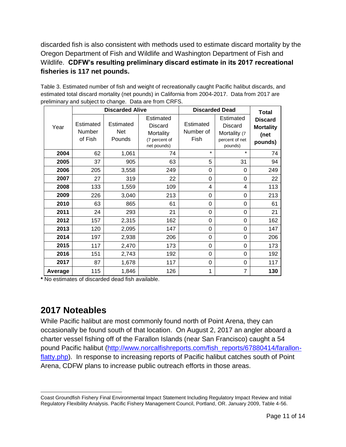discarded fish is also consistent with methods used to estimate discard mortality by the Oregon Department of Fish and Wildlife and Washington Department of Fish and Wildlife. **CDFW's resulting preliminary discard estimate in its 2017 recreational fisheries is 117 net pounds.**

| Table 3. Estimated number of fish and weight of recreationally caught Pacific halibut discards, and |
|-----------------------------------------------------------------------------------------------------|
| estimated total discard mortality (net pounds) in California from 2004-2017. Data from 2017 are     |
| preliminary and subject to change. Data are from CRFS.                                              |

|         |                                | <b>Discarded Alive</b>            |                                                                          | <b>Discarded Dead</b>          |                                                                   | <b>Total</b>                                          |
|---------|--------------------------------|-----------------------------------|--------------------------------------------------------------------------|--------------------------------|-------------------------------------------------------------------|-------------------------------------------------------|
| Year    | Estimated<br>Number<br>of Fish | Estimated<br><b>Net</b><br>Pounds | Estimated<br><b>Discard</b><br>Mortality<br>(7 percent of<br>net pounds) | Estimated<br>Number of<br>Fish | Estimated<br>Discard<br>Mortality (7<br>percent of net<br>pounds) | <b>Discard</b><br><b>Mortality</b><br>(net<br>pounds) |
| 2004    | 62                             | 1,061                             | 74                                                                       | $\star$                        | $\star$                                                           | 74                                                    |
| 2005    | 37                             | 905                               | 63                                                                       | 5                              | 31                                                                | 94                                                    |
| 2006    | 205                            | 3,558                             | 249                                                                      | 0                              | 0                                                                 | 249                                                   |
| 2007    | 27                             | 319                               | 22                                                                       | 0                              | $\Omega$                                                          | 22                                                    |
| 2008    | 133                            | 1,559                             | 109                                                                      | 4                              | 4                                                                 | 113                                                   |
| 2009    | 226                            | 3,040                             | 213                                                                      | 0                              | 0                                                                 | 213                                                   |
| 2010    | 63                             | 865                               | 61                                                                       | 0                              | 0                                                                 | 61                                                    |
| 2011    | 24                             | 293                               | 21                                                                       | 0                              | 0                                                                 | 21                                                    |
| 2012    | 157                            | 2,315                             | 162                                                                      | 0                              | $\Omega$                                                          | 162                                                   |
| 2013    | 120                            | 2,095                             | 147                                                                      | $\Omega$                       | $\Omega$                                                          | 147                                                   |
| 2014    | 197                            | 2,938                             | 206                                                                      | 0                              | $\Omega$                                                          | 206                                                   |
| 2015    | 117                            | 2,470                             | 173                                                                      | 0                              | 0                                                                 | 173                                                   |
| 2016    | 151                            | 2,743                             | 192                                                                      | 0                              | 0                                                                 | 192                                                   |
| 2017    | 87                             | 1,678                             | 117                                                                      | 0                              | 0                                                                 | 117                                                   |
| Average | 115                            | 1,846                             | 126                                                                      | 1                              | $\overline{7}$                                                    | 130                                                   |

**\*** No estimates of discarded dead fish available.

## <span id="page-10-0"></span>**2017 Noteables**

While Pacific halibut are most commonly found north of Point Arena, they can occasionally be found south of that location. On August 2, 2017 an angler aboard a charter vessel fishing off of the Farallon Islands (near San Francisco) caught a 54 pound Pacific halibut [\(http://www.norcalfishreports.com/fish\\_reports/67880414/farallon](http://www.norcalfishreports.com/fish_reports/67880414/farallon-flatty.php)[flatty.php\)](http://www.norcalfishreports.com/fish_reports/67880414/farallon-flatty.php). In response to increasing reports of Pacific halibut catches south of Point Arena, CDFW plans to increase public outreach efforts in those areas.

 $\overline{a}$ Coast Groundfish Fishery Final Environmental Impact Statement Including Regulatory Impact Review and Initial Regulatory Flexibility Analysis. Pacific Fishery Management Council, Portland, OR. January 2009, Table 4-56.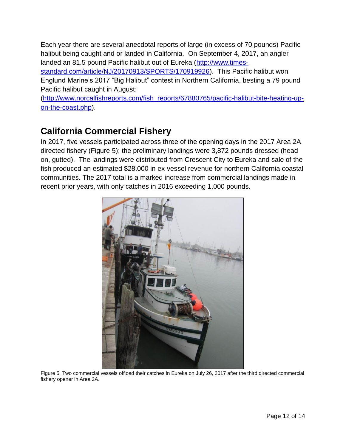Each year there are several anecdotal reports of large (in excess of 70 pounds) Pacific halibut being caught and or landed in California. On September 4, 2017, an angler landed an 81.5 pound Pacific halibut out of Eureka [\(http://www.times-](http://www.times-standard.com/article/NJ/20170913/SPORTS/170919926)

[standard.com/article/NJ/20170913/SPORTS/170919926\)](http://www.times-standard.com/article/NJ/20170913/SPORTS/170919926). This Pacific halibut won Englund Marine's 2017 "Big Halibut" contest in Northern California, besting a 79 pound Pacific halibut caught in August:

[\(http://www.norcalfishreports.com/fish\\_reports/67880765/pacific-halibut-bite-heating-up](http://www.norcalfishreports.com/fish_reports/67880765/pacific-halibut-bite-heating-up-on-the-coast.php)[on-the-coast.php\)](http://www.norcalfishreports.com/fish_reports/67880765/pacific-halibut-bite-heating-up-on-the-coast.php).

## <span id="page-11-0"></span>**California Commercial Fishery**

In 2017, five vessels participated across three of the opening days in the 2017 Area 2A directed fishery (Figure 5); the preliminary landings were 3,872 pounds dressed (head on, gutted). The landings were distributed from Crescent City to Eureka and sale of the fish produced an estimated \$28,000 in ex-vessel revenue for northern California coastal communities. The 2017 total is a marked increase from commercial landings made in recent prior years, with only catches in 2016 exceeding 1,000 pounds.



Figure 5. Two commercial vessels offload their catches in Eureka on July 26, 2017 after the third directed commercial fishery opener in Area 2A.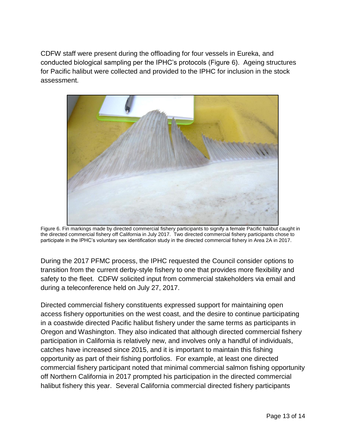CDFW staff were present during the offloading for four vessels in Eureka, and conducted biological sampling per the IPHC's protocols (Figure 6). Ageing structures for Pacific halibut were collected and provided to the IPHC for inclusion in the stock assessment.



Figure 6. Fin markings made by directed commercial fishery participants to signify a female Pacific halibut caught in the directed commercial fishery off California in July 2017. Two directed commercial fishery participants chose to participate in the IPHC's voluntary sex identification study in the directed commercial fishery in Area 2A in 2017.

During the 2017 PFMC process, the IPHC requested the Council consider options to transition from the current derby-style fishery to one that provides more flexibility and safety to the fleet. CDFW solicited input from commercial stakeholders via email and during a teleconference held on July 27, 2017.

Directed commercial fishery constituents expressed support for maintaining open access fishery opportunities on the west coast, and the desire to continue participating in a coastwide directed Pacific halibut fishery under the same terms as participants in Oregon and Washington. They also indicated that although directed commercial fishery participation in California is relatively new, and involves only a handful of individuals, catches have increased since 2015, and it is important to maintain this fishing opportunity as part of their fishing portfolios. For example, at least one directed commercial fishery participant noted that minimal commercial salmon fishing opportunity off Northern California in 2017 prompted his participation in the directed commercial halibut fishery this year. Several California commercial directed fishery participants